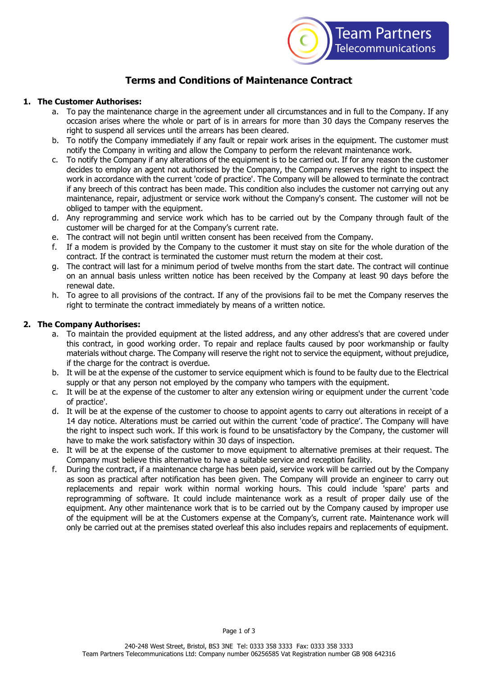

# **Terms and Conditions of Maintenance Contract**

#### **1. The Customer Authorises:**

- a. To pay the maintenance charge in the agreement under all circumstances and in full to the Company. If any occasion arises where the whole or part of is in arrears for more than 30 days the Company reserves the right to suspend all services until the arrears has been cleared.
- b. To notify the Company immediately if any fault or repair work arises in the equipment. The customer must notify the Company in writing and allow the Company to perform the relevant maintenance work.
- c. To notify the Company if any alterations of the equipment is to be carried out. If for any reason the customer decides to employ an agent not authorised by the Company, the Company reserves the right to inspect the work in accordance with the current 'code of practice'. The Company will be allowed to terminate the contract if any breech of this contract has been made. This condition also includes the customer not carrying out any maintenance, repair, adjustment or service work without the Company's consent. The customer will not be obliged to tamper with the equipment.
- d. Any reprogramming and service work which has to be carried out by the Company through fault of the customer will be charged for at the Company's current rate.
- e. The contract will not begin until written consent has been received from the Company.
- f. If a modem is provided by the Company to the customer it must stay on site for the whole duration of the contract. If the contract is terminated the customer must return the modem at their cost.
- g. The contract will last for a minimum period of twelve months from the start date. The contract will continue on an annual basis unless written notice has been received by the Company at least 90 days before the renewal date.
- h. To agree to all provisions of the contract. If any of the provisions fail to be met the Company reserves the right to terminate the contract immediately by means of a written notice.

### **2. The Company Authorises:**

- a. To maintain the provided equipment at the listed address, and any other address's that are covered under this contract, in good working order. To repair and replace faults caused by poor workmanship or faulty materials without charge. The Company will reserve the right not to service the equipment, without prejudice, if the charge for the contract is overdue.
- b. It will be at the expense of the customer to service equipment which is found to be faulty due to the Electrical supply or that any person not employed by the company who tampers with the equipment.
- c. It will be at the expense of the customer to alter any extension wiring or equipment under the current 'code of practice'.
- d. It will be at the expense of the customer to choose to appoint agents to carry out alterations in receipt of a 14 day notice. Alterations must be carried out within the current 'code of practice'. The Company will have the right to inspect such work. If this work is found to be unsatisfactory by the Company, the customer will have to make the work satisfactory within 30 days of inspection.
- e. It will be at the expense of the customer to move equipment to alternative premises at their request. The Company must believe this alternative to have a suitable service and reception facility.
- f. During the contract, if a maintenance charge has been paid, service work will be carried out by the Company as soon as practical after notification has been given. The Company will provide an engineer to carry out replacements and repair work within normal working hours. This could include 'spare' parts and reprogramming of software. It could include maintenance work as a result of proper daily use of the equipment. Any other maintenance work that is to be carried out by the Company caused by improper use of the equipment will be at the Customers expense at the Company's, current rate. Maintenance work will only be carried out at the premises stated overleaf this also includes repairs and replacements of equipment.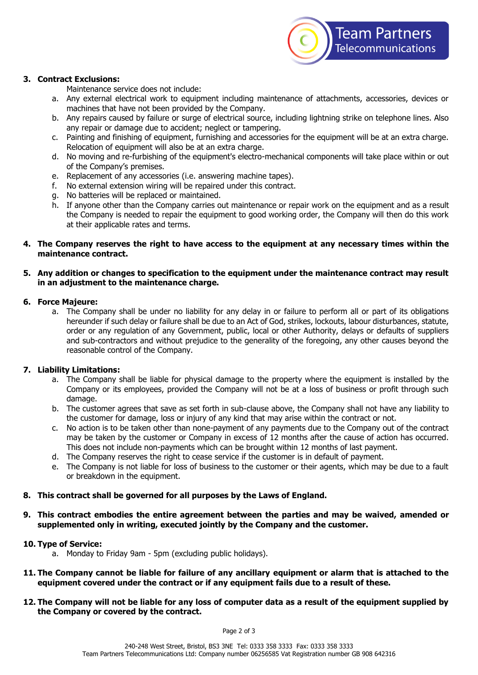

#### **3. Contract Exclusions:**

Maintenance service does not include:

- a. Any external electrical work to equipment including maintenance of attachments, accessories, devices or machines that have not been provided by the Company.
- b. Any repairs caused by failure or surge of electrical source, including lightning strike on telephone lines. Also any repair or damage due to accident; neglect or tampering.
- c. Painting and finishing of equipment, furnishing and accessories for the equipment will be at an extra charge. Relocation of equipment will also be at an extra charge.
- d. No moving and re-furbishing of the equipment's electro-mechanical components will take place within or out of the Company's premises.
- e. Replacement of any accessories (i.e. answering machine tapes).
- f. No external extension wiring will be repaired under this contract.
- g. No batteries will be replaced or maintained.
- h. If anyone other than the Company carries out maintenance or repair work on the equipment and as a result the Company is needed to repair the equipment to good working order, the Company will then do this work at their applicable rates and terms.

#### **4. The Company reserves the right to have access to the equipment at any necessary times within the maintenance contract.**

#### **5. Any addition or changes to specification to the equipment under the maintenance contract may result in an adjustment to the maintenance charge.**

#### **6. Force Majeure:**

a. The Company shall be under no liability for any delay in or failure to perform all or part of its obligations hereunder if such delay or failure shall be due to an Act of God, strikes, lockouts, labour disturbances, statute, order or any regulation of any Government, public, local or other Authority, delays or defaults of suppliers and sub-contractors and without prejudice to the generality of the foregoing, any other causes beyond the reasonable control of the Company.

## **7. Liability Limitations:**

- a. The Company shall be liable for physical damage to the property where the equipment is installed by the Company or its employees, provided the Company will not be at a loss of business or profit through such damage.
- b. The customer agrees that save as set forth in sub-clause above, the Company shall not have any liability to the customer for damage, loss or injury of any kind that may arise within the contract or not.
- c. No action is to be taken other than none-payment of any payments due to the Company out of the contract may be taken by the customer or Company in excess of 12 months after the cause of action has occurred. This does not include non-payments which can be brought within 12 months of last payment.
- d. The Company reserves the right to cease service if the customer is in default of payment.
- e. The Company is not liable for loss of business to the customer or their agents, which may be due to a fault or breakdown in the equipment.

#### **8. This contract shall be governed for all purposes by the Laws of England.**

**9. This contract embodies the entire agreement between the parties and may be waived, amended or supplemented only in writing, executed jointly by the Company and the customer.**

#### **10. Type of Service:**

- a. Monday to Friday 9am 5pm (excluding public holidays).
- **11. The Company cannot be liable for failure of any ancillary equipment or alarm that is attached to the equipment covered under the contract or if any equipment fails due to a result of these.**
- **12. The Company will not be liable for any loss of computer data as a result of the equipment supplied by the Company or covered by the contract.**